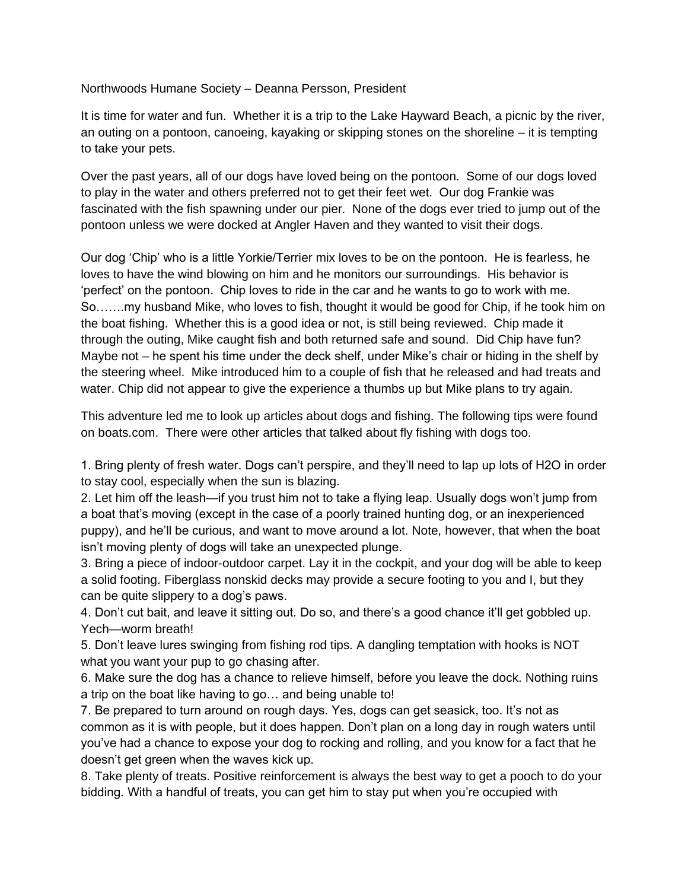Northwoods Humane Society – Deanna Persson, President

It is time for water and fun. Whether it is a trip to the Lake Hayward Beach, a picnic by the river, an outing on a pontoon, canoeing, kayaking or skipping stones on the shoreline – it is tempting to take your pets.

Over the past years, all of our dogs have loved being on the pontoon. Some of our dogs loved to play in the water and others preferred not to get their feet wet. Our dog Frankie was fascinated with the fish spawning under our pier. None of the dogs ever tried to jump out of the pontoon unless we were docked at Angler Haven and they wanted to visit their dogs.

Our dog 'Chip' who is a little Yorkie/Terrier mix loves to be on the pontoon. He is fearless, he loves to have the wind blowing on him and he monitors our surroundings. His behavior is 'perfect' on the pontoon. Chip loves to ride in the car and he wants to go to work with me. So…….my husband Mike, who loves to fish, thought it would be good for Chip, if he took him on the boat fishing. Whether this is a good idea or not, is still being reviewed. Chip made it through the outing, Mike caught fish and both returned safe and sound. Did Chip have fun? Maybe not – he spent his time under the deck shelf, under Mike's chair or hiding in the shelf by the steering wheel. Mike introduced him to a couple of fish that he released and had treats and water. Chip did not appear to give the experience a thumbs up but Mike plans to try again.

This adventure led me to look up articles about dogs and fishing. The following tips were found on boats.com. There were other articles that talked about fly fishing with dogs too.

1. Bring plenty of fresh water. Dogs can't perspire, and they'll need to lap up lots of H2O in order to stay cool, especially when the sun is blazing.

2. Let him off the leash—if you trust him not to take a flying leap. Usually dogs won't jump from a boat that's moving (except in the case of a poorly trained hunting dog, or an inexperienced puppy), and he'll be curious, and want to move around a lot. Note, however, that when the boat isn't moving plenty of dogs will take an unexpected plunge.

3. Bring a piece of indoor-outdoor carpet. Lay it in the cockpit, and your dog will be able to keep a solid footing. Fiberglass nonskid decks may provide a secure footing to you and I, but they can be quite slippery to a dog's paws.

4. Don't cut bait, and leave it sitting out. Do so, and there's a good chance it'll get gobbled up. Yech—worm breath!

5. Don't leave lures swinging from fishing rod tips. A dangling temptation with hooks is NOT what you want your pup to go chasing after.

6. Make sure the dog has a chance to relieve himself, before you leave the dock. Nothing ruins a trip on the boat like having to go… and being unable to!

7. Be prepared to turn around on rough days. Yes, dogs can get seasick, too. It's not as common as it is with people, but it does happen. Don't plan on a long day in rough waters until you've had a chance to expose your dog to rocking and rolling, and you know for a fact that he doesn't get green when the waves kick up.

8. Take plenty of treats. Positive reinforcement is always the best way to get a pooch to do your bidding. With a handful of treats, you can get him to stay put when you're occupied with